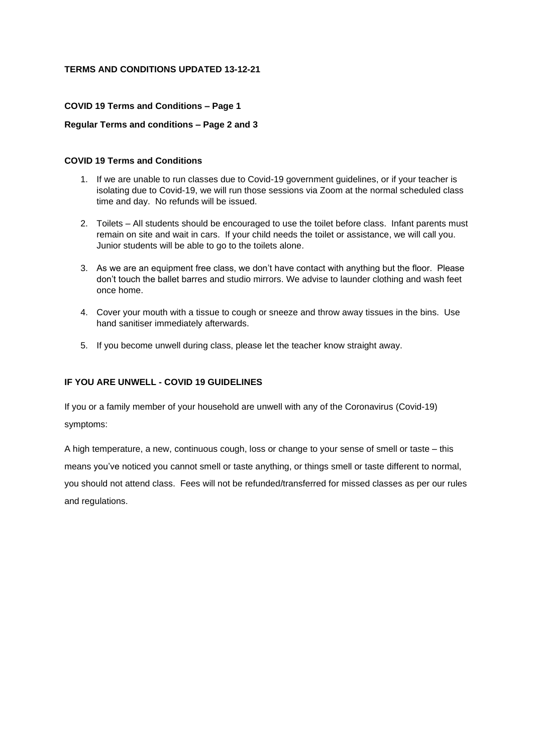# **TERMS AND CONDITIONS UPDATED 13-12-21**

## **COVID 19 Terms and Conditions – Page 1**

# **Regular Terms and conditions – Page 2 and 3**

### **COVID 19 Terms and Conditions**

- 1. If we are unable to run classes due to Covid-19 government guidelines, or if your teacher is isolating due to Covid-19, we will run those sessions via Zoom at the normal scheduled class time and day. No refunds will be issued.
- 2. Toilets All students should be encouraged to use the toilet before class. Infant parents must remain on site and wait in cars. If your child needs the toilet or assistance, we will call you. Junior students will be able to go to the toilets alone.
- 3. As we are an equipment free class, we don't have contact with anything but the floor. Please don't touch the ballet barres and studio mirrors. We advise to launder clothing and wash feet once home.
- 4. Cover your mouth with a tissue to cough or sneeze and throw away tissues in the bins. Use hand sanitiser immediately afterwards.
- 5. If you become unwell during class, please let the teacher know straight away.

### **IF YOU ARE UNWELL - COVID 19 GUIDELINES**

If you or a family member of your household are unwell with any of the Coronavirus (Covid-19) symptoms:

A high temperature, a new, continuous cough, loss or change to your sense of smell or taste – this means you've noticed you cannot smell or taste anything, or things smell or taste different to normal, you should not attend class. Fees will not be refunded/transferred for missed classes as per our rules and regulations.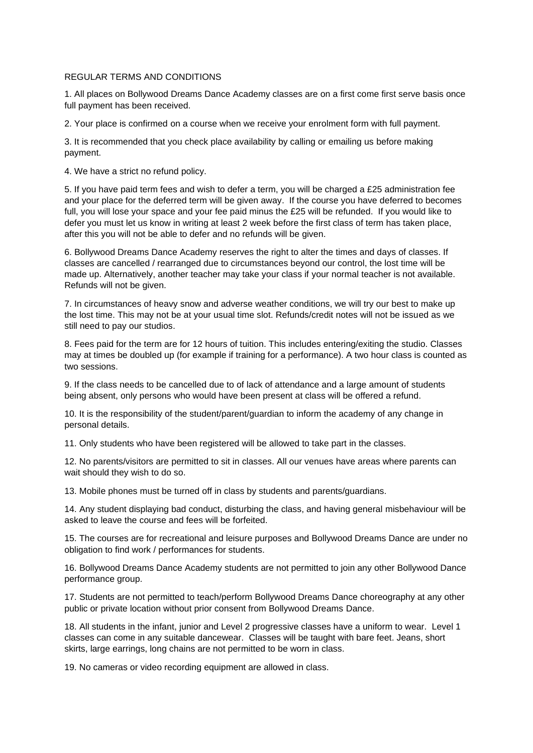#### REGULAR TERMS AND CONDITIONS

1. All places on Bollywood Dreams Dance Academy classes are on a first come first serve basis once full payment has been received.

2. Your place is confirmed on a course when we receive your enrolment form with full payment.

3. It is recommended that you check place availability by calling or emailing us before making payment.

4. We have a strict no refund policy.

5. If you have paid term fees and wish to defer a term, you will be charged a £25 administration fee and your place for the deferred term will be given away. If the course you have deferred to becomes full, you will lose your space and your fee paid minus the £25 will be refunded. If you would like to defer you must let us know in writing at least 2 week before the first class of term has taken place, after this you will not be able to defer and no refunds will be given.

6. Bollywood Dreams Dance Academy reserves the right to alter the times and days of classes. If classes are cancelled / rearranged due to circumstances beyond our control, the lost time will be made up. Alternatively, another teacher may take your class if your normal teacher is not available. Refunds will not be given.

7. In circumstances of heavy snow and adverse weather conditions, we will try our best to make up the lost time. This may not be at your usual time slot. Refunds/credit notes will not be issued as we still need to pay our studios.

8. Fees paid for the term are for 12 hours of tuition. This includes entering/exiting the studio. Classes may at times be doubled up (for example if training for a performance). A two hour class is counted as two sessions.

9. If the class needs to be cancelled due to of lack of attendance and a large amount of students being absent, only persons who would have been present at class will be offered a refund.

10. It is the responsibility of the student/parent/guardian to inform the academy of any change in personal details.

11. Only students who have been registered will be allowed to take part in the classes.

12. No parents/visitors are permitted to sit in classes. All our venues have areas where parents can wait should they wish to do so.

13. Mobile phones must be turned off in class by students and parents/guardians.

14. Any student displaying bad conduct, disturbing the class, and having general misbehaviour will be asked to leave the course and fees will be forfeited.

15. The courses are for recreational and leisure purposes and Bollywood Dreams Dance are under no obligation to find work / performances for students.

16. Bollywood Dreams Dance Academy students are not permitted to join any other Bollywood Dance performance group.

17. Students are not permitted to teach/perform Bollywood Dreams Dance choreography at any other public or private location without prior consent from Bollywood Dreams Dance.

18. All students in the infant, junior and Level 2 progressive classes have a uniform to wear. Level 1 classes can come in any suitable dancewear. Classes will be taught with bare feet. Jeans, short skirts, large earrings, long chains are not permitted to be worn in class.

19. No cameras or video recording equipment are allowed in class.